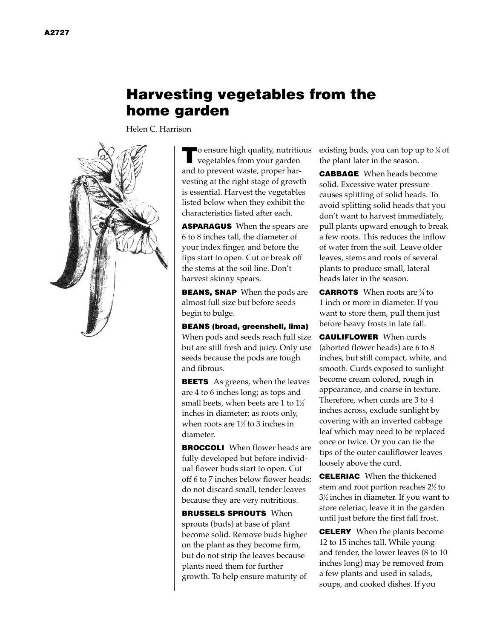# **Harvesting vegetables from the home garden**

Helen C. Harrison



**T**o ensure high quality, nutritious vegetables from your garden and to prevent waste, proper harvesting at the right stage of growth is essential. Harvest the vegetables listed below when they exhibit the characteristics listed after each.

**ASPARAGUS** When the spears are 6 to 8 inches tall, the diameter of your index finger, and before the tips start to open. Cut or break off the stems at the soil line. Don't harvest skinny spears.

**BEANS, SNAP** When the pods are almost full size but before seeds begin to bulge.

**BEANS (broad, greenshell, lima)** When pods and seeds reach full size but are still fresh and juicy. Only use seeds because the pods are tough and fibrous.

**BEETS** As greens, when the leaves are 4 to 6 inches long; as tops and small beets, when beets are 1 to  $1\!\!\!{\scriptstyle /}2$ inches in diameter; as roots only, when roots are  $1\%$  to 3 inches in diameter.

**BROCCOLI** When flower heads are fully developed but before individual flower buds start to open. Cut off 6 to 7 inches below flower heads; do not discard small, tender leaves because they are very nutritious.

**BRUSSELS SPROUTS** When sprouts (buds) at base of plant become solid. Remove buds higher on the plant as they become firm, but do not strip the leaves because plants need them for further growth. To help ensure maturity of existing buds, you can top up to 1 ⁄4 of the plant later in the season.

**CABBAGE** When heads become solid. Excessive water pressure causes splitting of solid heads. To avoid splitting solid heads that you don't want to harvest immediately, pull plants upward enough to break a few roots. This reduces the inflow of water from the soil. Leave older leaves, stems and roots of several plants to produce small, lateral heads later in the season.

**CARROTS** When roots are 3 ⁄4 to 1 inch or more in diameter. If you want to store them, pull them just before heavy frosts in late fall.

**CAULIFLOWER** When curds (aborted flower heads) are 6 to 8 inches, but still compact, white, and smooth. Curds exposed to sunlight become cream colored, rough in appearance, and coarse in texture. Therefore, when curds are 3 to 4 inches across, exclude sunlight by covering with an inverted cabbage leaf which may need to be replaced once or twice. Or you can tie the tips of the outer cauliflower leaves loosely above the curd.

**CELERIAC** When the thickened stem and root portion reaches 21 ⁄2 to 31 ⁄2 inches in diameter. If you want to store celeriac, leave it in the garden until just before the first fall frost.

**CELERY** When the plants become 12 to 15 inches tall. While young and tender, the lower leaves (8 to 10 inches long) may be removed from a few plants and used in salads, soups, and cooked dishes. If you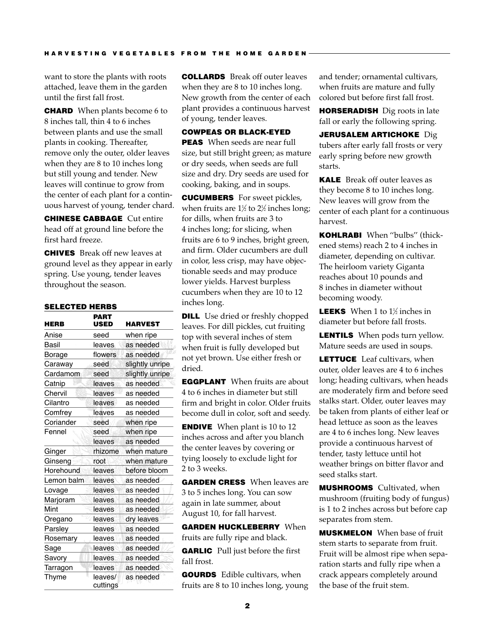want to store the plants with roots attached, leave them in the garden until the first fall frost.

**CHARD** When plants become 6 to 8 inches tall, thin 4 to 6 inches between plants and use the small plants in cooking. Thereafter, remove only the outer, older leaves when they are 8 to 10 inches long but still young and tender. New leaves will continue to grow from the center of each plant for a continuous harvest of young, tender chard.

**CHINESE CABBAGE** Cut entire head off at ground line before the first hard freeze.

**CHIVES** Break off new leaves at ground level as they appear in early spring. Use young, tender leaves throughout the season.

### **SELECTED HERBS**

| <b>HERB</b> | <b>PART</b><br>USED | HARVEST         |
|-------------|---------------------|-----------------|
| Anise       | seed                | when ripe       |
| Basil       | leaves              | as needed       |
| Borage      | flowers             | as needed       |
| Caraway     | seed                | slightly unripe |
| Cardamom    | seed                | slightly unripe |
| Catnip      | leaves              | as needed       |
| Chervil     | leaves              | as needed       |
| Cilantro    | leaves              | as needed       |
| Comfrey     | leaves              | as needed       |
| Coriander   | seed                | when ripe       |
| Fennel      | seed                | when ripe       |
|             | leaves              | as needed       |
| Ginger      | rhizome             | when mature     |
| Ginseng     | root                | when mature     |
| Horehound   | leaves              | before bloom    |
| Lemon balm  | leaves              | as needed       |
| Lovage      | leaves              | as needed       |
| Marjoram    | leaves              | as needed       |
| Mint        | leaves              | as needed       |
| Oregano     | leaves              | dry leaves      |
| Parsley     | leaves              | as needed       |
| Rosemary    | leaves              | as needed       |
| Sage        | leaves              | as needed       |
| Savory      | leaves              | as needed       |
| Tarragon    | leaves              | as needed       |
| Thyme       | leaves/<br>cuttings | as needed       |

**COLLARDS** Break off outer leaves when they are 8 to 10 inches long. New growth from the center of each plant provides a continuous harvest of young, tender leaves.

### **COWPEAS OR BLACK-EYED**

**PEAS** When seeds are near full size, but still bright green; as mature or dry seeds, when seeds are full size and dry. Dry seeds are used for cooking, baking, and in soups.

**CUCUMBERS** For sweet pickles, when fruits are  $1\frac{1}{2}$  to  $2\frac{1}{2}$  inches long; for dills, when fruits are 3 to 4 inches long; for slicing, when fruits are 6 to 9 inches, bright green, and firm. Older cucumbers are dull in color, less crisp, may have objectionable seeds and may produce lower yields. Harvest burpless cucumbers when they are 10 to 12 inches long.

**DILL** Use dried or freshly chopped leaves. For dill pickles, cut fruiting top with several inches of stem when fruit is fully developed but not yet brown. Use either fresh or dried.

**EGGPLANT** When fruits are about 4 to 6 inches in diameter but still firm and bright in color. Older fruits become dull in color, soft and seedy.

**ENDIVE** When plant is 10 to 12 inches across and after you blanch the center leaves by covering or tying loosely to exclude light for 2 to 3 weeks.

**GARDEN CRESS** When leaves are 3 to 5 inches long. You can sow again in late summer, about August 10, for fall harvest.

**GARDEN HUCKLEBERRY** When fruits are fully ripe and black.

**GARLIC** Pull just before the first fall frost.

**GOURDS** Edible cultivars, when fruits are 8 to 10 inches long, young

and tender; ornamental cultivars, when fruits are mature and fully colored but before first fall frost.

**HORSERADISH** Dig roots in late fall or early the following spring.

**JERUSALEM ARTICHOKE** Dig tubers after early fall frosts or very early spring before new growth starts.

**KALE** Break off outer leaves as they become 8 to 10 inches long. New leaves will grow from the center of each plant for a continuous harvest.

**KOHLRABI** When ''bulbs'' (thickened stems) reach 2 to 4 inches in diameter, depending on cultivar. The heirloom variety Giganta reaches about 10 pounds and 8 inches in diameter without becoming woody.

**LEEKS** When 1 to 1½ inches in diameter but before fall frosts.

**LENTILS** When pods turn yellow. Mature seeds are used in soups.

**LETTUCE** Leaf cultivars, when outer, older leaves are 4 to 6 inches long; heading cultivars, when heads are moderately firm and before seed stalks start. Older, outer leaves may be taken from plants of either leaf or head lettuce as soon as the leaves are 4 to 6 inches long. New leaves provide a continuous harvest of tender, tasty lettuce until hot weather brings on bitter flavor and seed stalks start.

**MUSHROOMS** Cultivated, when mushroom (fruiting body of fungus) is 1 to 2 inches across but before cap separates from stem.

**MUSKMELON** When base of fruit stem starts to separate from fruit. Fruit will be almost ripe when separation starts and fully ripe when a crack appears completely around the base of the fruit stem.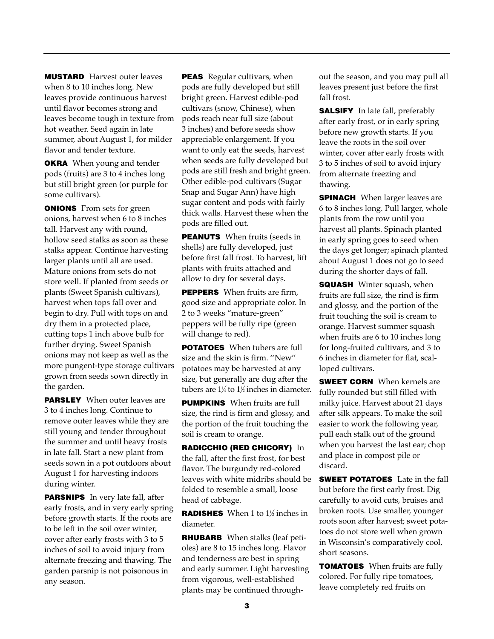**MUSTARD** Harvest outer leaves when 8 to 10 inches long. New leaves provide continuous harvest until flavor becomes strong and leaves become tough in texture from hot weather. Seed again in late summer, about August 1, for milder flavor and tender texture.

**OKRA** When young and tender pods (fruits) are 3 to 4 inches long but still bright green (or purple for some cultivars).

**ONIONS** From sets for green onions, harvest when 6 to 8 inches tall. Harvest any with round, hollow seed stalks as soon as these stalks appear. Continue harvesting larger plants until all are used. Mature onions from sets do not store well. If planted from seeds or plants (Sweet Spanish cultivars), harvest when tops fall over and begin to dry. Pull with tops on and dry them in a protected place, cutting tops 1 inch above bulb for further drying. Sweet Spanish onions may not keep as well as the more pungent-type storage cultivars grown from seeds sown directly in the garden.

**PARSLEY** When outer leaves are 3 to 4 inches long. Continue to remove outer leaves while they are still young and tender throughout the summer and until heavy frosts in late fall. Start a new plant from seeds sown in a pot outdoors about August 1 for harvesting indoors during winter.

**PARSNIPS** In very late fall, after early frosts, and in very early spring before growth starts. If the roots are to be left in the soil over winter, cover after early frosts with 3 to 5 inches of soil to avoid injury from alternate freezing and thawing. The garden parsnip is not poisonous in any season.

**PEAS** Regular cultivars, when pods are fully developed but still bright green. Harvest edible-pod cultivars (snow, Chinese), when pods reach near full size (about 3 inches) and before seeds show appreciable enlargement. If you want to only eat the seeds, harvest when seeds are fully developed but pods are still fresh and bright green. Other edible-pod cultivars (Sugar Snap and Sugar Ann) have high sugar content and pods with fairly thick walls. Harvest these when the pods are filled out.

**PEANUTS** When fruits (seeds in shells) are fully developed, just before first fall frost. To harvest, lift plants with fruits attached and allow to dry for several days.

**PEPPERS** When fruits are firm, good size and appropriate color. In 2 to 3 weeks "mature-green" peppers will be fully ripe (green will change to red).

**POTATOES** When tubers are full size and the skin is firm. ''New'' potatoes may be harvested at any size, but generally are dug after the tubers are  $1\frac{1}{4}$  to  $1\frac{1}{2}$  inches in diameter.

**PUMPKINS** When fruits are full size, the rind is firm and glossy, and the portion of the fruit touching the soil is cream to orange.

**RADICCHIO (RED CHICORY)** In the fall, after the first frost, for best flavor. The burgundy red-colored leaves with white midribs should be folded to resemble a small, loose head of cabbage.

**RADISHES** When 1 to 1½ inches in diameter.

**RHUBARB** When stalks (leaf petioles) are 8 to 15 inches long. Flavor and tenderness are best in spring and early summer. Light harvesting from vigorous, well-established plants may be continued through-

out the season, and you may pull all leaves present just before the first fall frost.

**SALSIFY** In late fall, preferably after early frost, or in early spring before new growth starts. If you leave the roots in the soil over winter, cover after early frosts with 3 to 5 inches of soil to avoid injury from alternate freezing and thawing.

**SPINACH** When larger leaves are 6 to 8 inches long. Pull larger, whole plants from the row until you harvest all plants. Spinach planted in early spring goes to seed when the days get longer; spinach planted about August 1 does not go to seed during the shorter days of fall.

**SQUASH** Winter squash, when fruits are full size, the rind is firm and glossy, and the portion of the fruit touching the soil is cream to orange. Harvest summer squash when fruits are 6 to 10 inches long for long-fruited cultivars, and 3 to 6 inches in diameter for flat, scalloped cultivars.

**SWEET CORN** When kernels are fully rounded but still filled with milky juice. Harvest about 21 days after silk appears. To make the soil easier to work the following year, pull each stalk out of the ground when you harvest the last ear; chop and place in compost pile or discard.

**SWEET POTATOES** Late in the fall but before the first early frost. Dig carefully to avoid cuts, bruises and broken roots. Use smaller, younger roots soon after harvest; sweet potatoes do not store well when grown in Wisconsin's comparatively cool, short seasons.

**TOMATOES** When fruits are fully colored. For fully ripe tomatoes, leave completely red fruits on